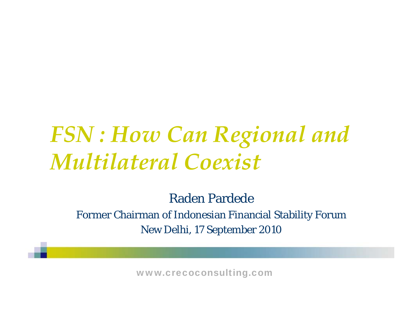## *FSN : How Can Regional and Multilateral Coexist*

Raden Pardede

Former Chairman of Indonesian Financial Stability Forum New Delhi, 17 September 2010

www.crecoconsulting.com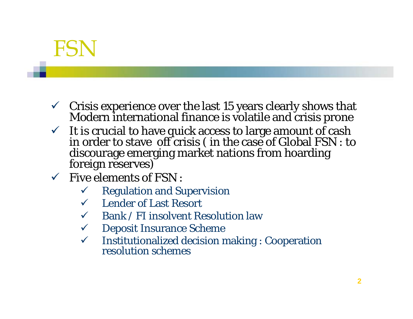### FSN

- $\checkmark$  Crisis experience over the last 15 years clearly shows that Modern international finance is volatile and crisis prone
- $\checkmark$  It is crucial to have quick access to large amount of cash in order to stave off crisis ( in the case of Global FSN : to discourage emerging market nations from hoarding foreign reserves)
- $\checkmark$  Five elements of FSN :
	- $\checkmark$ Regulation and Supervision
	- $\checkmark$  Lender of Last Resort
	- $\checkmark$  Bank / FI insolvent Resolution law
	- $\checkmark$  Deposit Insurance Scheme
	- $\checkmark$ Institutionalized decision making : Cooperation resolution schemes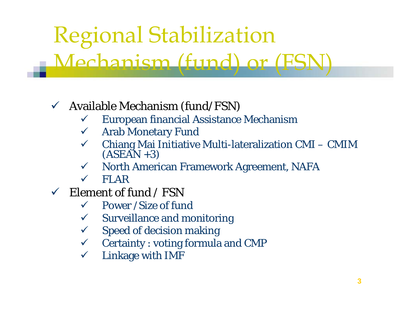# Regional Stabilization

#### Mechanism (fund) or (FSN) ism (fund) or

#### $\checkmark$  Available Mechanism (fund/FSN)

- $\checkmark$ European financial Assistance Mechanism
- $\checkmark$  Arab Monetary Fund
- $\checkmark$  Chiang Mai Initiative Multi-lateralization CMI CMIM (ASEAN +3)
- $\checkmark$  North American Framework Agreement, NAFA
- $\sqrt{2}$ FLAR
- $\checkmark$  Element of fund / FSN
	- $\checkmark$ Power /Size of fund
	- $\checkmark$  Surveillance and monitoring
	- $\sqrt{2}$ Speed of decision making
	- $\checkmark$  Certainty : voting formula and CMP
	- $\checkmark$ Linkage with IMF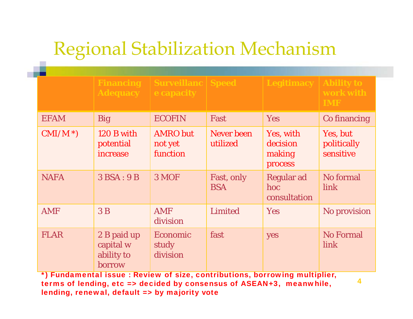### Regional Stabilization Mechanism

|             | <b>Financing</b><br><b>Adequacy</b>              | <b>Surveillanc   Speed</b><br>e capacity |                               | <b>Legitimacy   Ability to</b>             | work with<br><b>IMF</b>              |
|-------------|--------------------------------------------------|------------------------------------------|-------------------------------|--------------------------------------------|--------------------------------------|
| <b>EFAM</b> | <b>Big</b>                                       | <b>ECOFIN</b>                            | Fast                          | <b>Yes</b>                                 | Co financing                         |
| $CMI/M^*)$  | 120 B with<br>potential<br>increase              | <b>AMRO</b> but<br>not yet<br>function   | <b>Never</b> been<br>utilized | Yes, with<br>decision<br>making<br>process | Yes, but<br>politically<br>sensitive |
| <b>NAFA</b> | 3BSA:9B                                          | 3 MOF                                    | Fast, only<br><b>BSA</b>      | <b>Regular ad</b><br>hoc<br>consultation   | No formal<br>link                    |
| <b>AMF</b>  | 3B                                               | <b>AMF</b><br>division                   | Limited                       | <b>Yes</b>                                 | No provision                         |
| <b>FLAR</b> | 2 B paid up<br>capital w<br>ability to<br>borrow | <b>Economic</b><br>study<br>division     | fast                          | yes                                        | <b>No Formal</b><br>link             |

 \*) Fundamental issue : Review of size, contributions, borrowing multiplier, terms of lending, etc => decided by consensus of ASEAN+3, meanwhile, lending, renewal, default => by majority vote

4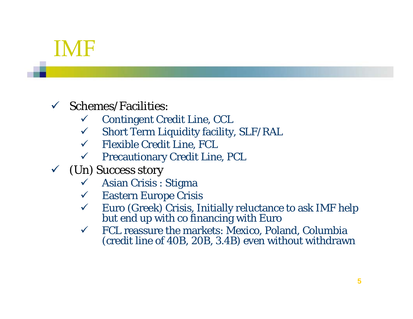### IMF

#### $\checkmark$  Schemes/Facilities:

- $\checkmark$  Contingent Credit Line, CCL
- $\checkmark$  Short Term Liquidity facility, SLF/RAL
- $\checkmark$  Flexible Credit Line, FCL
- $\checkmark$  Precautionary Credit Line, PCL
- $\checkmark$  (Un) Success story
	- $\checkmark$  Asian Crisis : Stigma
	- $\checkmark$  Eastern Europe Crisis
	- $\checkmark$ Euro (Greek) Crisis, Initially reluctance to ask IMF help but end up with co financing with Euro
	- $\checkmark$  FCL reassure the markets: Mexico, Poland, Columbia (credit line of 40B, 20B, 3.4B) even without withdrawn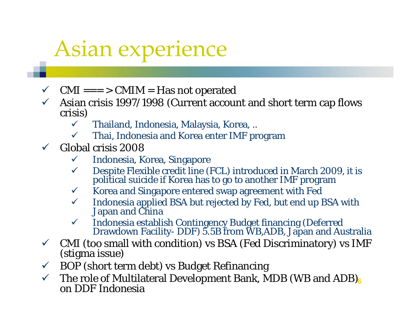# Asian ex perience

- $\checkmark$  $CMI == > CMIM = Has$  not operated
- $\checkmark$  $\checkmark$  Asian crisis 1997/1998 (Current account and short term cap flows crisis)
	- $\checkmark$ Thailand, Indonesia, Malaysia, Korea, ..
	- $\checkmark$  $\checkmark$  – Thai, Indonesia and Korea enter IMF program
- $\checkmark$  Global crisis 2008
	- $\checkmark$  Indonesia, Korea, Singapore
	- $\checkmark$ Despite Flexible credit line (FCL) introduced in March 2009, it is political suicide if Korea has to go to another IMF program
	- $\sqrt{ }$ Korea and Singapore entered swap agreement with Fed
	- $\checkmark$ Indonesia applied BSA but rejected by Fed, but end up BSA with Japan and China
	- $\checkmark$ Indonesia establish Contingency Budget financing (Deferred Drawdown Facility- DDF) 5.5B from WB,ADB, Japan and Australia
- $\checkmark$ CMI (too small with condition) vs BSA (Fed Discriminatory) vs IMF (stigma issue)
- $\sqrt{ }$ BOP (short term debt) vs Budget Refinancing
- $\sqrt{ }$ The role of Multilateral Development Bank, MDB (WB and ADB).<br>
on DDF Indonesia 6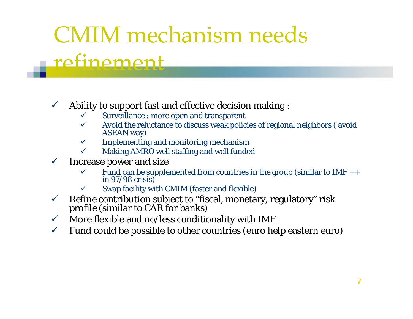# CMIM mechanism needs

### refinement

#### $\checkmark$ Ability to support fast and effective decision making :

- $\checkmark$ Surveillance : more open and transparent
- $\checkmark$ Avoid the reluctance to discuss weak policies of regional neighbors ( avoid ASEAN way)
- $\checkmark$ Implementing and monitoring mechanism
- $\checkmark$ Making AMRO well staffing and well funded
- $\checkmark$  Increase power and size
	- $\checkmark$ Fund can be supplemented from countries in the group (similar to IMF  $++$  in 97/98 crisis)
	- $\checkmark$ Swap facility with CMIM (faster and flexible)
- $\checkmark$ Refine contribution subject to "fiscal, monetary, regulatory" risk profile (similar to CAR for banks)
- $\sqrt{ }$ More flexible and no/less conditionality with IMF
- $\checkmark$ Fund could be possible to other countries (euro help eastern euro)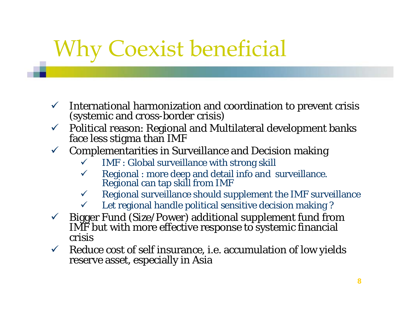# Why Coexist beneficial

- $\checkmark$  International harmonization and coordination to prevent crisis (systemic and cross-border crisis)
- $\checkmark$  Political reason: Regional and Multilateral development banks face less stigma than IMF
- $\checkmark$  Complementarities in Surveillance and Decision making
	- $\checkmark$ IMF : Global surveillance with strong skill
	- $\checkmark$ Regional : more deep and detail info and surveillance.<br>Regional can tap skill from IMF
	- $\checkmark$  Regional surveillance should supplement the IMF surveillance
	- $\checkmark$ Let regional handle political sensitive decision making ?
- $\sqrt{2}$ Bigger Fund (Size/Power) additional supplement fund from IMF but with more effective response to systemic financial crisis
- $\sqrt{ }$ Reduce cost of self insurance, i.e. accumulation of low yields reserve asset, especially in Asia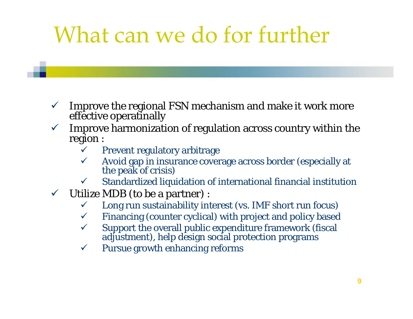# What can we do for further

- $\sqrt{ }$ Improve the regional FSN mechanism and make it work more effective operatinally
- $\checkmark$  Improve harmonization of regulation across country within the region :
	- $\checkmark$ Prevent regulatory arbitrage
	- $\checkmark$ Avoid gap in insurance coverage across border (especially at the peak of crisis)
	- $\checkmark$  $\checkmark$  Standardized liquidation of international financial institution
- $\checkmark$  Utilize MDB (to be a partner) :
	- $\checkmark$ Long run sustainability interest (vs. IMF short run focus)
	- $\checkmark$  Financing (counter cyclical) with project and policy based
	- $\checkmark$ Support the overall public expenditure framework (fiscal adjustment), help design social protection programs
	- $\checkmark$ Pursue growth enhancing reforms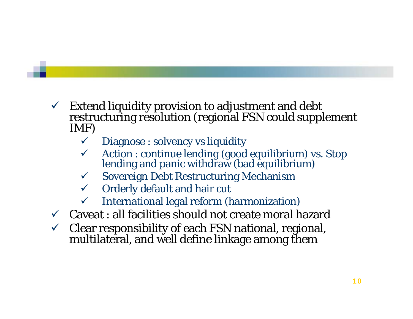- $\checkmark$  Extend liquidity provision to adjustment and debt restructuring resolution (regional FSN could supplement IMF)
	- $\checkmark$ Diagnose : solvency vs liquidity
	- 9 Action : continue lending (good equilibrium) vs. Stop lending and panic withdraw (bad equilibrium)
	- $\checkmark$  Sovereign Debt Restructuring Mechanism
	- $\checkmark$  Orderly default and hair cut
	- $\checkmark$  International legal reform (harmonization)
- $\checkmark$  Caveat : all facilities should not create moral hazard
- $\checkmark$  Clear responsibility of each FSN national, regional, multilateral, and well define linkage among them